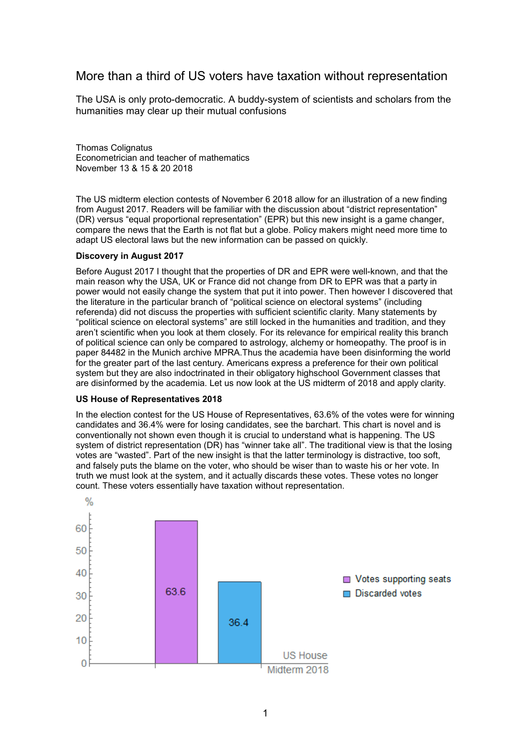# More than a third of US voters have taxation without representation

The USA is only proto-democratic. A buddy-system of scientists and scholars from the humanities may clear up their mutual confusions

Thomas Colignatus Econometrician and teacher of mathematics November 13 & 15 & 20 2018

The US midterm election contests of November 6 2018 allow for an illustration of a new finding from August 2017. Readers will be familiar with the discussion about "district representation" (DR) versus "equal proportional representation" (EPR) but this new insight is a game changer, compare the news that the Earth is not flat but a globe. Policy makers might need more time to adapt US electoral laws but the new information can be passed on quickly.

## **Discovery in August 2017**

Before August 2017 I thought that the properties of DR and EPR were well-known, and that the main reason why the USA, UK or France did not change from DR to EPR was that a party in power would not easily change the system that put it into power. Then however I discovered that the literature in the particular branch of "political science on electoral systems" (including referenda) did not discuss the properties with sufficient scientific clarity. Many statements by "political science on electoral systems" are still locked in the humanities and tradition, and they aren't scientific when you look at them closely. For its relevance for empirical reality this branch of political science can only be compared to astrology, alchemy or homeopathy. The proof is in paper 84482 in the Munich archive MPRA.Thus the academia have been disinforming the world for the greater part of the last century. Americans express a preference for their own political system but they are also indoctrinated in their obligatory highschool Government classes that are disinformed by the academia. Let us now look at the US midterm of 2018 and apply clarity.

### **US House of Representatives 2018**

In the election contest for the US House of Representatives, 63.6% of the votes were for winning candidates and 36.4% were for losing candidates, see the barchart. This chart is novel and is conventionally not shown even though it is crucial to understand what is happening. The US system of district representation (DR) has "winner take all". The traditional view is that the losing votes are "wasted". Part of the new insight is that the latter terminology is distractive, too soft, and falsely puts the blame on the voter, who should be wiser than to waste his or her vote. In truth we must look at the system, and it actually discards these votes. These votes no longer count. These voters essentially have taxation without representation.

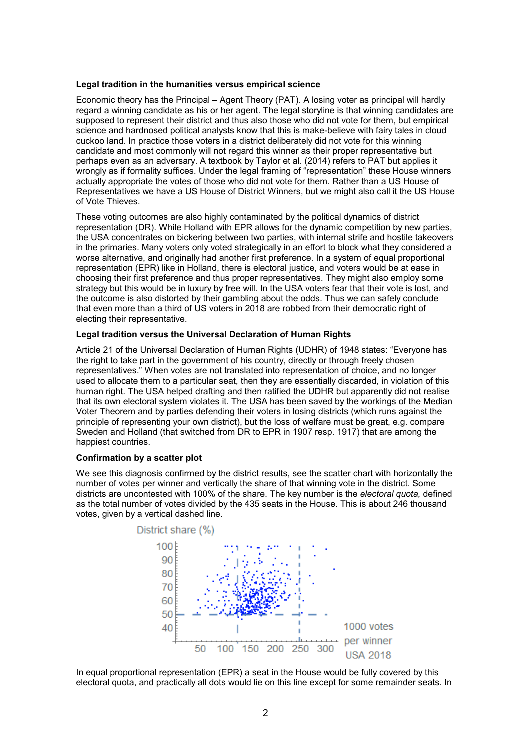### **Legal tradition in the humanities versus empirical science**

Economic theory has the Principal – Agent Theory (PAT). A losing voter as principal will hardly regard a winning candidate as his or her agent. The legal storyline is that winning candidates are supposed to represent their district and thus also those who did not vote for them, but empirical science and hardnosed political analysts know that this is make-believe with fairy tales in cloud cuckoo land. In practice those voters in a district deliberately did not vote for this winning candidate and most commonly will not regard this winner as their proper representative but perhaps even as an adversary. A textbook by Taylor et al. (2014) refers to PAT but applies it wrongly as if formality suffices. Under the legal framing of "representation" these House winners actually appropriate the votes of those who did not vote for them. Rather than a US House of Representatives we have a US House of District Winners, but we might also call it the US House of Vote Thieves.

These voting outcomes are also highly contaminated by the political dynamics of district representation (DR). While Holland with EPR allows for the dynamic competition by new parties, the USA concentrates on bickering between two parties, with internal strife and hostile takeovers in the primaries. Many voters only voted strategically in an effort to block what they considered a worse alternative, and originally had another first preference. In a system of equal proportional representation (EPR) like in Holland, there is electoral justice, and voters would be at ease in choosing their first preference and thus proper representatives. They might also employ some strategy but this would be in luxury by free will. In the USA voters fear that their vote is lost, and the outcome is also distorted by their gambling about the odds. Thus we can safely conclude that even more than a third of US voters in 2018 are robbed from their democratic right of electing their representative.

### **Legal tradition versus the Universal Declaration of Human Rights**

Article 21 of the Universal Declaration of Human Rights (UDHR) of 1948 states: "Everyone has the right to take part in the government of his country, directly or through freely chosen representatives." When votes are not translated into representation of choice, and no longer used to allocate them to a particular seat, then they are essentially discarded, in violation of this human right. The USA helped drafting and then ratified the UDHR but apparently did not realise that its own electoral system violates it. The USA has been saved by the workings of the Median Voter Theorem and by parties defending their voters in losing districts (which runs against the principle of representing your own district), but the loss of welfare must be great, e.g. compare Sweden and Holland (that switched from DR to EPR in 1907 resp. 1917) that are among the happiest countries.

### **Confirmation by a scatter plot**

We see this diagnosis confirmed by the district results, see the scatter chart with horizontally the number of votes per winner and vertically the share of that winning vote in the district. Some districts are uncontested with 100% of the share. The key number is the *electoral quota,* defined as the total number of votes divided by the 435 seats in the House. This is about 246 thousand votes, given by a vertical dashed line.



In equal proportional representation (EPR) a seat in the House would be fully covered by this electoral quota, and practically all dots would lie on this line except for some remainder seats. In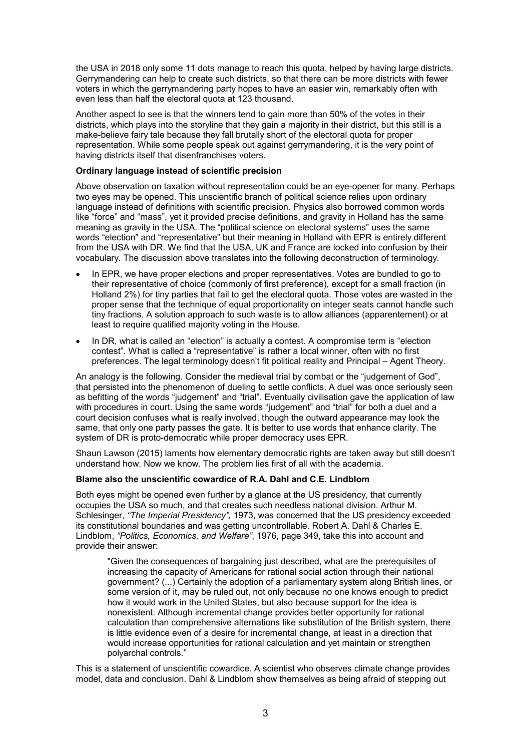the USA in 2018 only some 11 dots manage to reach this quota, helped by having large districts. Gerrymandering can help to create such districts, so that there can be more districts with fewer voters in which the gerrymandering party hopes to have an easier win, remarkably often with even less than half the electoral quota at 123 thousand.

Another aspect to see is that the winners tend to gain more than 50% of the votes in their districts, which plays into the storyline that they gain a majority in their district, but this still is a make-believe fairy tale because they fall brutally short of the electoral quota for proper representation. While some people speak out against gerrymandering, it is the very point of having districts itself that disenfranchises voters.

## **Ordinary language instead of scientific precision**

Above observation on taxation without representation could be an eye-opener for many. Perhaps two eyes may be opened. This unscientific branch of political science relies upon ordinary language instead of definitions with scientific precision. Physics also borrowed common words like "force" and "mass", yet it provided precise definitions, and gravity in Holland has the same meaning as gravity in the USA. The "political science on electoral systems" uses the same words "election" and "representative" but their meaning in Holland with EPR is entirely different from the USA with DR. We find that the USA, UK and France are locked into confusion by their vocabulary. The discussion above translates into the following deconstruction of terminology.

- In EPR, we have proper elections and proper representatives. Votes are bundled to go to their representative of choice (commonly of first preference), except for a small fraction (in Holland 2%) for tiny parties that fail to get the electoral quota. Those votes are wasted in the proper sense that the technique of equal proportionality on integer seats cannot handle such tiny fractions. A solution approach to such waste is to allow alliances (apparentement) or at least to require qualified majority voting in the House.
- In DR, what is called an "election" is actually a contest. A compromise term is "election" contest". What is called a "representative" is rather a local winner, often with no first preferences. The legal terminology doesn't fit political reality and Principal – Agent Theory.

An analogy is the following. Consider the medieval trial by combat or the "judgement of God", that persisted into the phenomenon of dueling to settle conflicts. A duel was once seriously seen as befitting of the words "judgement" and "trial". Eventually civilisation gave the application of law with procedures in court. Using the same words "judgement" and "trial" for both a duel and a court decision confuses what is really involved, though the outward appearance may look the same, that only one party passes the gate. It is better to use words that enhance clarity. The system of DR is proto-democratic while proper democracy uses EPR.

Shaun Lawson (2015) laments how elementary democratic rights are taken away but still doesn't understand how. Now we know. The problem lies first of all with the academia.

### **Blame also the unscientific cowardice of R.A. Dahl and C.E. Lindblom**

Both eyes might be opened even further by a glance at the US presidency, that currently occupies the USA so much, and that creates such needless national division. Arthur M. Schlesinger, *"The Imperial Presidency",* 1973, was concerned that the US presidency exceeded its constitutional boundaries and was getting uncontrollable. Robert A. Dahl & Charles E. Lindblom, *"Politics, Economics, and Welfare"*, 1976, page 349, take this into account and provide their answer:

"Given the consequences of bargaining just described, what are the prerequisites of increasing the capacity of Americans for rational social action through their national government? (...) Certainly the adoption of a parliamentary system along British lines, or some version of it, may be ruled out, not only because no one knows enough to predict how it would work in the United States, but also because support for the idea is nonexistent. Although incremental change provides better opportunity for rational calculation than comprehensive alternations like substitution of the British system, there is little evidence even of a desire for incremental change, at least in a direction that would increase opportunities for rational calculation and yet maintain or strengthen polyarchal controls."

This is a statement of unscientific cowardice. A scientist who observes climate change provides model, data and conclusion. Dahl & Lindblom show themselves as being afraid of stepping out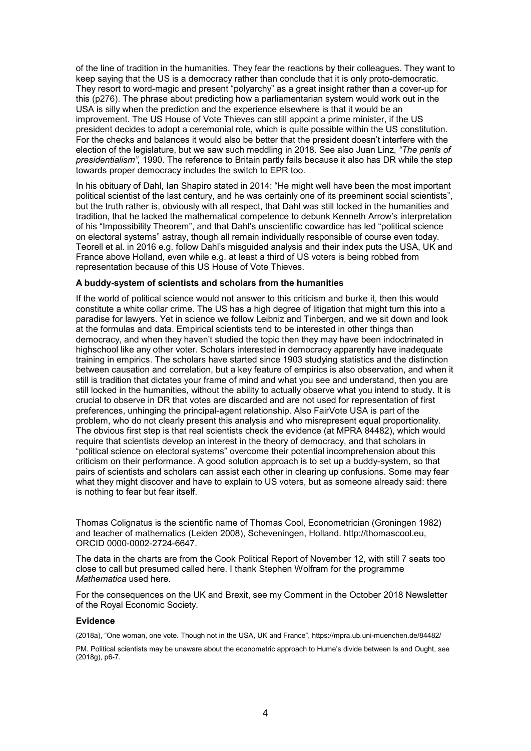of the line of tradition in the humanities. They fear the reactions by their colleagues. They want to keep saying that the US is a democracy rather than conclude that it is only proto-democratic. They resort to word-magic and present "polyarchy" as a great insight rather than a cover-up for this (p276). The phrase about predicting how a parliamentarian system would work out in the USA is silly when the prediction and the experience elsewhere is that it would be an improvement. The US House of Vote Thieves can still appoint a prime minister, if the US president decides to adopt a ceremonial role, which is quite possible within the US constitution. For the checks and balances it would also be better that the president doesn't interfere with the election of the legislature, but we saw such meddling in 2018. See also Juan Linz, *"The perils of presidentialism",* 1990. The reference to Britain partly fails because it also has DR while the step towards proper democracy includes the switch to EPR too.

In his obituary of Dahl, Ian Shapiro stated in 2014: "He might well have been the most important political scientist of the last century, and he was certainly one of its preeminent social scientists", but the truth rather is, obviously with all respect, that Dahl was still locked in the humanities and tradition, that he lacked the mathematical competence to debunk Kenneth Arrow's interpretation of his "Impossibility Theorem", and that Dahl's unscientific cowardice has led "political science on electoral systems" astray, though all remain individually responsible of course even today. Teorell et al. in 2016 e.g. follow Dahl's misguided analysis and their index puts the USA, UK and France above Holland, even while e.g. at least a third of US voters is being robbed from representation because of this US House of Vote Thieves.

### **A buddy-system of scientists and scholars from the humanities**

If the world of political science would not answer to this criticism and burke it, then this would constitute a white collar crime. The US has a high degree of litigation that might turn this into a paradise for lawyers. Yet in science we follow Leibniz and Tinbergen, and we sit down and look at the formulas and data. Empirical scientists tend to be interested in other things than democracy, and when they haven't studied the topic then they may have been indoctrinated in highschool like any other voter. Scholars interested in democracy apparently have inadequate training in empirics. The scholars have started since 1903 studying statistics and the distinction between causation and correlation, but a key feature of empirics is also observation, and when it still is tradition that dictates your frame of mind and what you see and understand, then you are still locked in the humanities, without the ability to actually observe what you intend to study. It is crucial to observe in DR that votes are discarded and are not used for representation of first preferences, unhinging the principal-agent relationship. Also FairVote USA is part of the problem, who do not clearly present this analysis and who misrepresent equal proportionality. The obvious first step is that real scientists check the evidence (at MPRA 84482), which would require that scientists develop an interest in the theory of democracy, and that scholars in "political science on electoral systems" overcome their potential incomprehension about this criticism on their performance. A good solution approach is to set up a buddy-system, so that pairs of scientists and scholars can assist each other in clearing up confusions. Some may fear what they might discover and have to explain to US voters, but as someone already said: there is nothing to fear but fear itself.

Thomas Colignatus is the scientific name of Thomas Cool, Econometrician (Groningen 1982) and teacher of mathematics (Leiden 2008), Scheveningen, Holland. http://thomascool.eu, ORCID 0000-0002-2724-6647.

The data in the charts are from the Cook Political Report of November 12, with still 7 seats too close to call but presumed called here. I thank Stephen Wolfram for the programme *Mathematica* used here.

For the consequences on the UK and Brexit, see my Comment in the October 2018 Newsletter of the Royal Economic Society.

#### **Evidence**

(2018a), "One woman, one vote. Though not in the USA, UK and France", https://mpra.ub.uni-muenchen.de/84482/

PM. Political scientists may be unaware about the econometric approach to Hume's divide between Is and Ought, see (2018g), p6-7.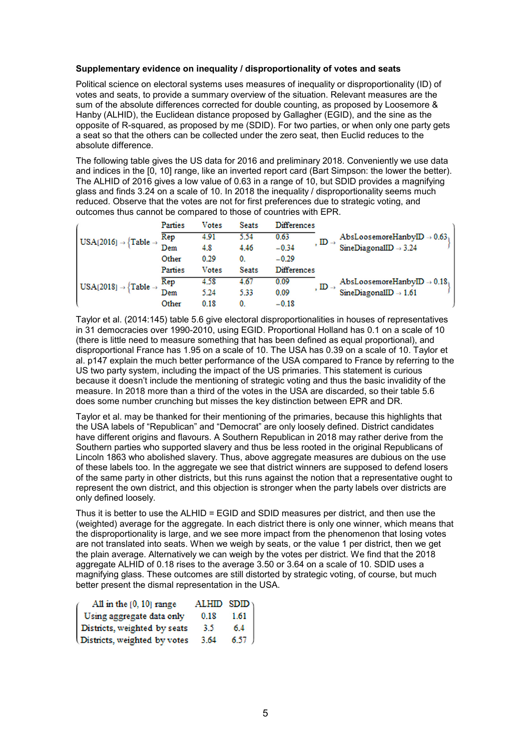## **Supplementary evidence on inequality / disproportionality of votes and seats**

Political science on electoral systems uses measures of inequality or disproportionality (ID) of votes and seats, to provide a summary overview of the situation. Relevant measures are the sum of the absolute differences corrected for double counting, as proposed by Loosemore & Hanby (ALHID), the Euclidean distance proposed by Gallagher (EGID), and the sine as the opposite of R-squared, as proposed by me (SDID). For two parties, or when only one party gets a seat so that the others can be collected under the zero seat, then Euclid reduces to the absolute difference.

The following table gives the US data for 2016 and preliminary 2018. Conveniently we use data and indices in the [0, 10] range, like an inverted report card (Bart Simpson: the lower the better). The ALHID of 2016 gives a low value of 0.63 in a range of 10, but SDID provides a magnifying glass and finds 3.24 on a scale of 10. In 2018 the inequality / disproportionality seems much reduced. Observe that the votes are not for first preferences due to strategic voting, and outcomes thus cannot be compared to those of countries with EPR.

|  |                                             | Parties | <b>Votes</b> | <b>Seats</b> | <b>Differences</b>            |                                        |
|--|---------------------------------------------|---------|--------------|--------------|-------------------------------|----------------------------------------|
|  | $USA[2016] \rightarrow \{Table \rightarrow$ | Rep     | 4.91         | 5.54         | 0.63                          | AbsLoosemoreHanbyID $\rightarrow$ 0.63 |
|  |                                             | Dem     | 4.8          | 4.46         | , $ID \rightarrow$<br>$-0.34$ | SineDiagonalID $\rightarrow$ 3.24      |
|  |                                             | Other   | 0.29         | 0.           | $-0.29$                       |                                        |
|  |                                             | Parties | Votes        | <b>Seats</b> | <b>Differences</b>            |                                        |
|  |                                             |         |              |              |                               |                                        |
|  |                                             | Rep     | 4.58         | 4.67         | 0.09                          | AbsLoosemoreHanbyID $\rightarrow$ 0.18 |
|  | $USA[2018] \rightarrow \{Table \rightarrow$ | Dem     | 5.24         | 5.33         | , $ID \rightarrow$<br>0.09    | SineDiagonalID $\rightarrow$ 1.61      |

Taylor et al. (2014:145) table 5.6 give electoral disproportionalities in houses of representatives in 31 democracies over 1990-2010, using EGID. Proportional Holland has 0.1 on a scale of 10 (there is little need to measure something that has been defined as equal proportional), and disproportional France has 1.95 on a scale of 10. The USA has 0.39 on a scale of 10. Taylor et al. p147 explain the much better performance of the USA compared to France by referring to the US two party system, including the impact of the US primaries. This statement is curious because it doesn't include the mentioning of strategic voting and thus the basic invalidity of the measure. In 2018 more than a third of the votes in the USA are discarded, so their table 5.6 does some number crunching but misses the key distinction between EPR and DR.

Taylor et al. may be thanked for their mentioning of the primaries, because this highlights that the USA labels of "Republican" and "Democrat" are only loosely defined. District candidates have different origins and flavours. A Southern Republican in 2018 may rather derive from the Southern parties who supported slavery and thus be less rooted in the original Republicans of Lincoln 1863 who abolished slavery. Thus, above aggregate measures are dubious on the use of these labels too. In the aggregate we see that district winners are supposed to defend losers of the same party in other districts, but this runs against the notion that a representative ought to represent the own district, and this objection is stronger when the party labels over districts are only defined loosely.

Thus it is better to use the ALHID = EGID and SDID measures per district, and then use the (weighted) average for the aggregate. In each district there is only one winner, which means that the disproportionality is large, and we see more impact from the phenomenon that losing votes are not translated into seats. When we weigh by seats, or the value 1 per district, then we get the plain average. Alternatively we can weigh by the votes per district. We find that the 2018 aggregate ALHID of 0.18 rises to the average 3.50 or 3.64 on a scale of 10. SDID uses a magnifying glass. These outcomes are still distorted by strategic voting, of course, but much better present the dismal representation in the USA.

| All in the [0, 10] range     | ALHID $SDID_1$ |                                                     |  |
|------------------------------|----------------|-----------------------------------------------------|--|
| Using aggregate data only    | 0.18           | $\begin{bmatrix} 1.61 \\ 6.4 \\ 6.57 \end{bmatrix}$ |  |
| Districts, weighted by seats | 3.5            |                                                     |  |
| Districts, weighted by votes | 3.64           |                                                     |  |